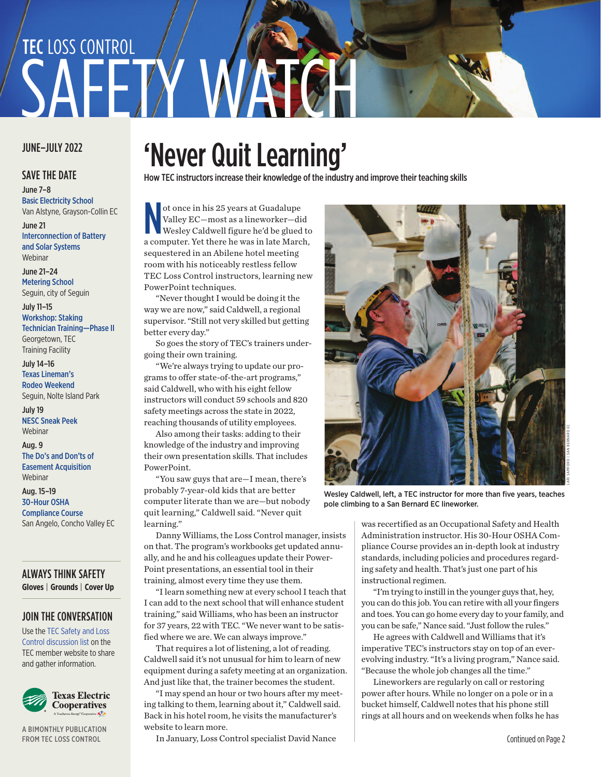# SAFFTY WAT TEC LOSS CONTROL

#### JUNE–JULY 2022

#### SAVE THE DATE

June 7–8 Basic Electricity School Van Alstyne, [Grayson-Collin](https://members.texas-ec.org/events/event_calendar.aspx) EC

June 21 [Interconnection](https://members.texas-ec.org/events/event_calendar.aspx) of Battery and Solar Systems Webinar

June 21–24

[Metering](https://members.texas-ec.org/events/event_calendar.aspx) School Seguin, city of Seguin

July 11–15 Workshop: Staking Technician [Training—Phase](https://members.texas-ec.org/events/event_calendar.aspx) II Georgetown, TEC

Training Facility July 14–16

Texas [Lineman's](http://www.tlra.org/) Rodeo Weekend

Seguin, Nolte Island Park July 19

NESC Sneak Peek [Webinar](https://members.texas-ec.org/events/event_calendar.aspx)

Aug. 9 The Do's and Don'ts of

Easement [Acquisition](https://members.texas-ec.org/events/event_calendar.aspx) Webinar

Aug. 15–19 30-Hour OSHA [Compliance](https://members.texas-ec.org/events/event_calendar.aspx) Course San Angelo, Concho Valley EC

ALWAYS THINK SAFETY **Gloves** | **Grounds** | **Cover Up**

#### JOIN THE [CONVERSATION](https://members.texas-ec.org/default.aspx?ReturnUrl=%2fmembers_area%2flistserv%2fdefault.aspx)

Use the TEC Safety and Loss Control discussion list on the TEC member website to share and gather information.



A BIMONTHLY PUBLICATION FROM TEC LOSS CONTROL

# 'Never Quit Learning'

How TEC instructors increase their knowledge of the industry and improve their teaching skills

ot once in his 25 years at Guadalupe<br>Valley EC—most as a lineworker—did<br>Wesley Caldwell figure he'd be glued to<br>a computer. Yet there he was in late March, ot once in his 25 years at Guadalupe Valley EC—most as a lineworker—did Wesley Caldwell figure he'd be glued to sequestered in an Abilene hotel meeting room with his noticeably restless fellow TEC Loss Control instructors, learning new PowerPoint techniques.

"Never thought I would be doing it the way we are now," said Caldwell, a regional supervisor. "Still not very skilled but getting better every day."

So goes the story of TEC's trainers undergoing their own training.

"We're always trying to update our programs to offer state-of-the-art programs," said Caldwell, who with his eight fellow instructors will conduct 59 schools and 820 safety meetings across the state in 2022, reaching thousands of utility employees.

Also among their tasks: adding to their knowledge of the industry and improving their own presentation skills. That includes PowerPoint.

"You saw guys that are—I mean, there's probably 7-year-old kids that are better computer literate than we are—but nobody quit learning," Caldwell said. "Never quit learning."

Danny Williams, the Loss Control manager, insists on that. The program's workbooks get updated annually, and he and his colleagues update their Power-Point presentations, an essential tool in their training, almost every time they use them.

"I learn something new at every school I teach that I can add to the next school that will enhance student training," said Williams, who has been an instructor for 37 years, 22 with TEC. "We never want to be satisfied where we are. We can always improve."

That requires a lot of listening, a lot of reading. Caldwell said it's not unusual for him to learn of new equipment during a safety meeting at an organization. And just like that, the trainer becomes the student.

"I may spend an hour or two hours after my meeting talking to them, learning about it," Caldwell said. Back in his hotel room, he visits the manufacturer's website to learn more.

In January, Loss Control specialist David Nance



Wesley Caldwell, left, a TEC instructor for more than five years, teaches pole climbing to a San Bernard EC lineworker.

was recertified as an Occupational Safety and Health Administration instructor. His 30-Hour OSHA Compliance Course provides an in-depth look at industry standards, including policies and procedures regarding safety and health. That's just one part of his instructional regimen.

"I'm trying to instill in the younger guys that, hey, you can do this job. You can retire with all your fingers and toes. You can go home every day to your family, and you can be safe," Nance said. "Just follow the rules."

He agrees with Caldwell and Williams that it's imperative TEC's instructors stay on top of an everevolving industry. "It's a living program," Nance said. "Because the whole job changes all the time."

Lineworkers are regularly on call or restoring power after hours. While no longer on a pole or in a bucket himself, Caldwell notes that his phone still rings at all hours and on weekends when folks he has